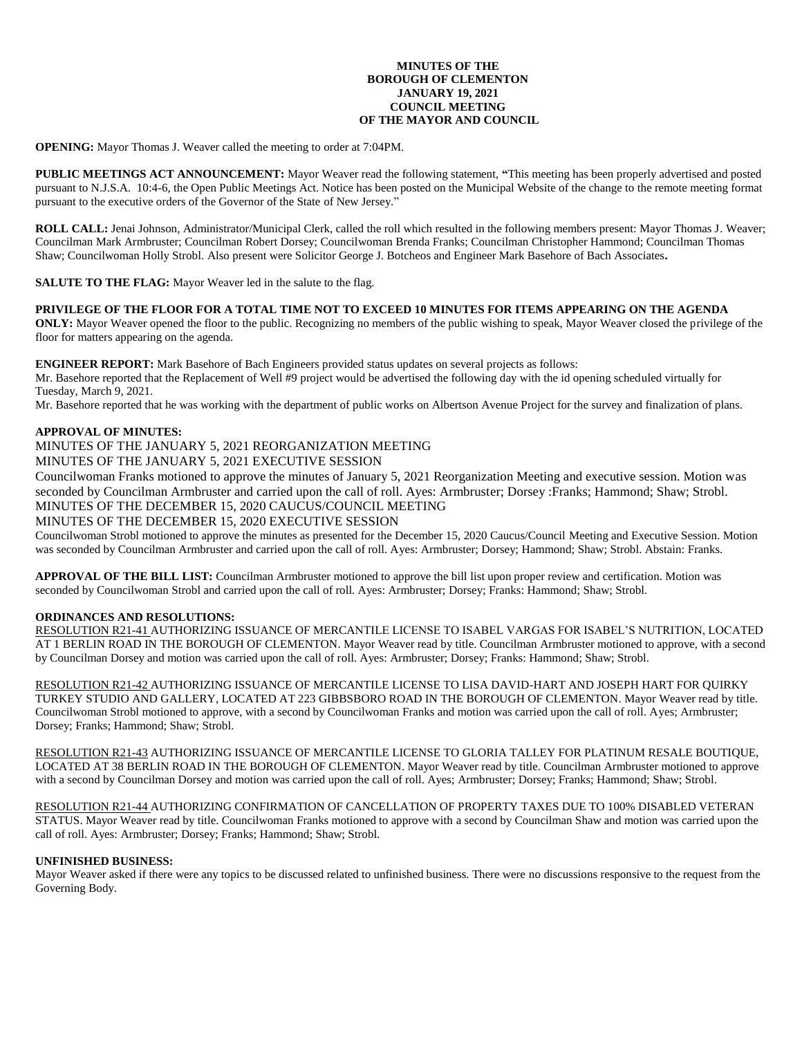## **MINUTES OF THE BOROUGH OF CLEMENTON JANUARY 19, 2021 COUNCIL MEETING OF THE MAYOR AND COUNCIL**

**OPENING:** Mayor Thomas J. Weaver called the meeting to order at 7:04PM.

**PUBLIC MEETINGS ACT ANNOUNCEMENT:** Mayor Weaver read the following statement, **"**This meeting has been properly advertised and posted pursuant to N.J.S.A. 10:4-6, the Open Public Meetings Act. Notice has been posted on the Municipal Website of the change to the remote meeting format pursuant to the executive orders of the Governor of the State of New Jersey."

**ROLL CALL:** Jenai Johnson, Administrator/Municipal Clerk, called the roll which resulted in the following members present: Mayor Thomas J. Weaver; Councilman Mark Armbruster; Councilman Robert Dorsey; Councilwoman Brenda Franks; Councilman Christopher Hammond; Councilman Thomas Shaw; Councilwoman Holly Strobl. Also present were Solicitor George J. Botcheos and Engineer Mark Basehore of Bach Associates**.**

**SALUTE TO THE FLAG:** Mayor Weaver led in the salute to the flag.

## **PRIVILEGE OF THE FLOOR FOR A TOTAL TIME NOT TO EXCEED 10 MINUTES FOR ITEMS APPEARING ON THE AGENDA**

**ONLY:** Mayor Weaver opened the floor to the public. Recognizing no members of the public wishing to speak, Mayor Weaver closed the privilege of the floor for matters appearing on the agenda.

**ENGINEER REPORT:** Mark Basehore of Bach Engineers provided status updates on several projects as follows:

Mr. Basehore reported that the Replacement of Well #9 project would be advertised the following day with the id opening scheduled virtually for Tuesday, March 9, 2021.

Mr. Basehore reported that he was working with the department of public works on Albertson Avenue Project for the survey and finalization of plans.

## **APPROVAL OF MINUTES:**

MINUTES OF THE JANUARY 5, 2021 REORGANIZATION MEETING

MINUTES OF THE JANUARY 5, 2021 EXECUTIVE SESSION

Councilwoman Franks motioned to approve the minutes of January 5, 2021 Reorganization Meeting and executive session. Motion was seconded by Councilman Armbruster and carried upon the call of roll. Ayes: Armbruster; Dorsey :Franks; Hammond; Shaw; Strobl. MINUTES OF THE DECEMBER 15, 2020 CAUCUS/COUNCIL MEETING

# MINUTES OF THE DECEMBER 15, 2020 EXECUTIVE SESSION

Councilwoman Strobl motioned to approve the minutes as presented for the December 15, 2020 Caucus/Council Meeting and Executive Session. Motion was seconded by Councilman Armbruster and carried upon the call of roll. Ayes: Armbruster; Dorsey; Hammond; Shaw; Strobl. Abstain: Franks.

**APPROVAL OF THE BILL LIST:** Councilman Armbruster motioned to approve the bill list upon proper review and certification. Motion was seconded by Councilwoman Strobl and carried upon the call of roll. Ayes: Armbruster; Dorsey; Franks: Hammond; Shaw; Strobl.

# **ORDINANCES AND RESOLUTIONS:**

RESOLUTION R21-41 AUTHORIZING ISSUANCE OF MERCANTILE LICENSE TO ISABEL VARGAS FOR ISABEL'S NUTRITION, LOCATED AT 1 BERLIN ROAD IN THE BOROUGH OF CLEMENTON. Mayor Weaver read by title. Councilman Armbruster motioned to approve, with a second by Councilman Dorsey and motion was carried upon the call of roll. Ayes: Armbruster; Dorsey; Franks: Hammond; Shaw; Strobl.

RESOLUTION R21-42 AUTHORIZING ISSUANCE OF MERCANTILE LICENSE TO LISA DAVID-HART AND JOSEPH HART FOR QUIRKY TURKEY STUDIO AND GALLERY, LOCATED AT 223 GIBBSBORO ROAD IN THE BOROUGH OF CLEMENTON. Mayor Weaver read by title. Councilwoman Strobl motioned to approve, with a second by Councilwoman Franks and motion was carried upon the call of roll. Ayes; Armbruster; Dorsey; Franks; Hammond; Shaw; Strobl.

RESOLUTION R21-43 AUTHORIZING ISSUANCE OF MERCANTILE LICENSE TO GLORIA TALLEY FOR PLATINUM RESALE BOUTIQUE, LOCATED AT 38 BERLIN ROAD IN THE BOROUGH OF CLEMENTON. Mayor Weaver read by title. Councilman Armbruster motioned to approve with a second by Councilman Dorsey and motion was carried upon the call of roll. Ayes; Armbruster; Dorsey; Franks; Hammond; Shaw; Strobl.

RESOLUTION R21-44 AUTHORIZING CONFIRMATION OF CANCELLATION OF PROPERTY TAXES DUE TO 100% DISABLED VETERAN STATUS. Mayor Weaver read by title. Councilwoman Franks motioned to approve with a second by Councilman Shaw and motion was carried upon the call of roll. Ayes: Armbruster; Dorsey; Franks; Hammond; Shaw; Strobl.

#### **UNFINISHED BUSINESS:**

Mayor Weaver asked if there were any topics to be discussed related to unfinished business. There were no discussions responsive to the request from the Governing Body.